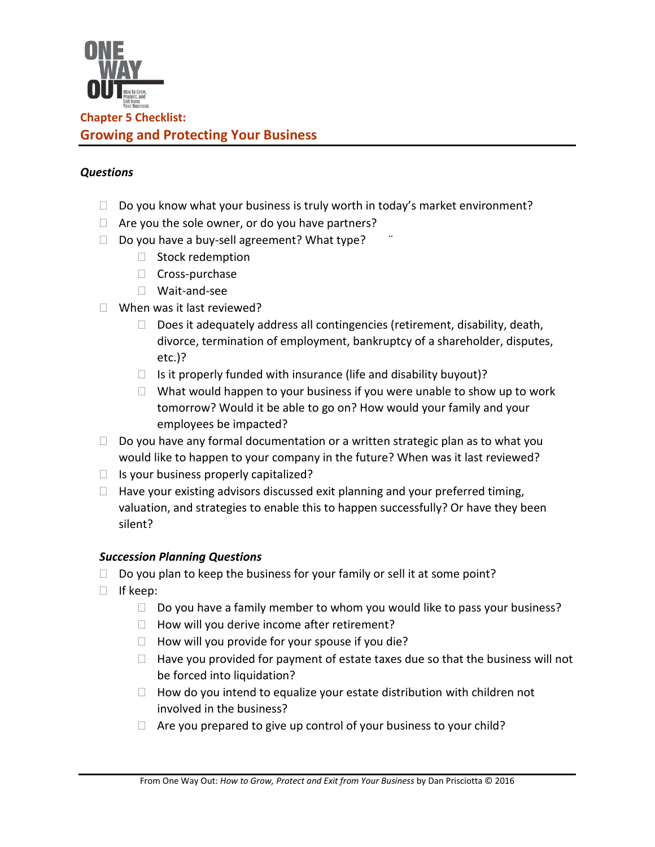

## *Questions*

- $\Box$  Do you know what your business is truly worth in today's market environment?
- $\Box$  Are you the sole owner, or do you have partners?
- $\Box$  Do you have a buy-sell agreement? What type?
	- $\Box$  Stock redemption
	- $\Box$  Cross-purchase
	- Wait-and-see
- □ When was it last reviewed?
	- $\Box$  Does it adequately address all contingencies (retirement, disability, death, divorce, termination of employment, bankruptcy of a shareholder, disputes, etc.)?
	- $\Box$  Is it properly funded with insurance (life and disability buyout)?
	- $\Box$  What would happen to your business if you were unable to show up to work tomorrow? Would it be able to go on? How would your family and your employees be impacted?
- $\Box$  Do you have any formal documentation or a written strategic plan as to what you would like to happen to your company in the future? When was it last reviewed?
- $\Box$  Is your business properly capitalized?
- $\Box$  Have your existing advisors discussed exit planning and your preferred timing, valuation, and strategies to enable this to happen successfully? Or have they been silent?

## *Succession Planning Questions*

- $\Box$  Do you plan to keep the business for your family or sell it at some point?
- $\Box$  If keep:
	- $\Box$  Do you have a family member to whom you would like to pass your business?
	- $\Box$  How will you derive income after retirement?
	- $\Box$  How will you provide for your spouse if you die?
	- $\Box$  Have you provided for payment of estate taxes due so that the business will not be forced into liquidation?
	- $\Box$  How do you intend to equalize your estate distribution with children not involved in the business?
	- $\Box$  Are you prepared to give up control of your business to your child?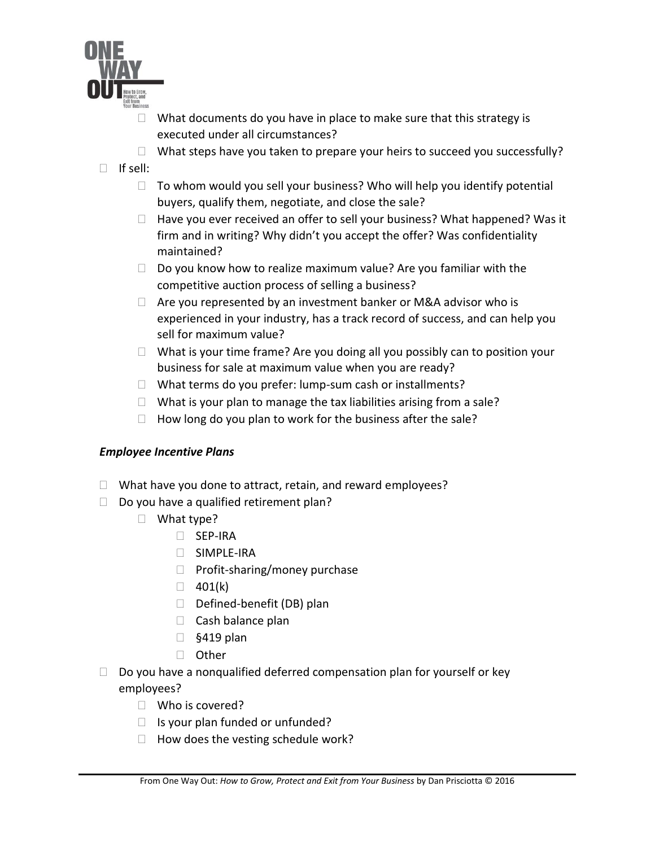

- $\Box$  What documents do you have in place to make sure that this strategy is executed under all circumstances?
- $\Box$  What steps have you taken to prepare your heirs to succeed you successfully?
- $\Box$  If sell:
	- $\Box$  To whom would you sell your business? Who will help you identify potential buyers, qualify them, negotiate, and close the sale?
	- $\Box$  Have you ever received an offer to sell your business? What happened? Was it firm and in writing? Why didn't you accept the offer? Was confidentiality maintained?
	- $\Box$  Do you know how to realize maximum value? Are you familiar with the competitive auction process of selling a business?
	- $\Box$  Are you represented by an investment banker or M&A advisor who is experienced in your industry, has a track record of success, and can help you sell for maximum value?
	- $\Box$  What is your time frame? Are you doing all you possibly can to position your business for sale at maximum value when you are ready?
	- $\Box$  What terms do you prefer: lump-sum cash or installments?
	- $\Box$  What is your plan to manage the tax liabilities arising from a sale?
	- $\Box$  How long do you plan to work for the business after the sale?

## *Employee Incentive Plans*

- $\Box$  What have you done to attract, retain, and reward employees?
- $\Box$  Do you have a qualified retirement plan?
	- □ What type?
		- SEP-IRA
		- SIMPLE-IRA
		- $\Box$  Profit-sharing/money purchase
		- $\Box$  401(k)
		- $\Box$  Defined-benefit (DB) plan
		- $\Box$  Cash balance plan
		- $\Box$  §419 plan
		- □ Other
- $\Box$  Do you have a nonqualified deferred compensation plan for yourself or key employees?
	- □ Who is covered?
	- $\Box$  Is your plan funded or unfunded?
	- $\Box$  How does the vesting schedule work?